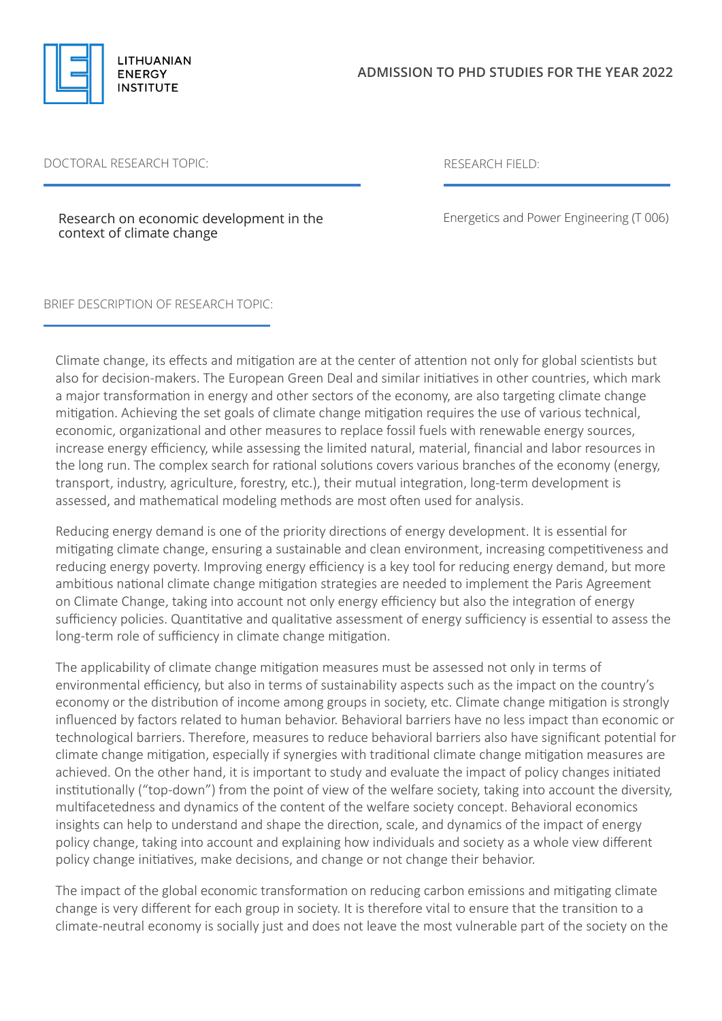

## DOCTORAL RESEARCH TOPIC: RESEARCH FIELD:

Research on economic development in the context of climate change

Energetics and Power Engineering (T 006)

BRIEF DESCRIPTION OF RESEARCH TOPIC:

Climate change, its effects and mitigation are at the center of attention not only for global scientists but also for decision-makers. The European Green Deal and similar initiatives in other countries, which mark a major transformation in energy and other sectors of the economy, are also targeting climate change mitigation. Achieving the set goals of climate change mitigation requires the use of various technical, economic, organizational and other measures to replace fossil fuels with renewable energy sources, increase energy efficiency, while assessing the limited natural, material, financial and labor resources in the long run. The complex search for rational solutions covers various branches of the economy (energy, transport, industry, agriculture, forestry, etc.), their mutual integration, long-term development is assessed, and mathematical modeling methods are most often used for analysis.

Reducing energy demand is one of the priority directions of energy development. It is essential for mitigating climate change, ensuring a sustainable and clean environment, increasing competitiveness and reducing energy poverty. Improving energy efficiency is a key tool for reducing energy demand, but more ambitious national climate change mitigation strategies are needed to implement the Paris Agreement on Climate Change, taking into account not only energy efficiency but also the integration of energy sufficiency policies. Quantitative and qualitative assessment of energy sufficiency is essential to assess the long-term role of sufficiency in climate change mitigation.

The applicability of climate change mitigation measures must be assessed not only in terms of environmental efficiency, but also in terms of sustainability aspects such as the impact on the country's economy or the distribution of income among groups in society, etc. Climate change mitigation is strongly influenced by factors related to human behavior. Behavioral barriers have no less impact than economic or technological barriers. Therefore, measures to reduce behavioral barriers also have significant potential for climate change mitigation, especially if synergies with traditional climate change mitigation measures are achieved. On the other hand, it is important to study and evaluate the impact of policy changes initiated institutionally ("top-down") from the point of view of the welfare society, taking into account the diversity, multifacetedness and dynamics of the content of the welfare society concept. Behavioral economics insights can help to understand and shape the direction, scale, and dynamics of the impact of energy policy change, taking into account and explaining how individuals and society as a whole view different policy change initiatives, make decisions, and change or not change their behavior.

The impact of the global economic transformation on reducing carbon emissions and mitigating climate change is very different for each group in society. It is therefore vital to ensure that the transition to a climate-neutral economy is socially just and does not leave the most vulnerable part of the society on the